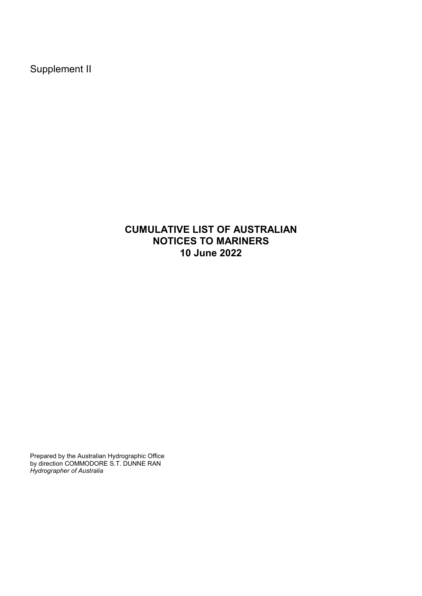Supplement II

## **CUMULATIVE LIST OF AUSTRALIAN NOTICES TO MARINERS 10 June 2022**

Prepared by the Australian Hydrographic Office by direction COMMODORE S.T. DUNNE RAN *Hydrographer of Australia*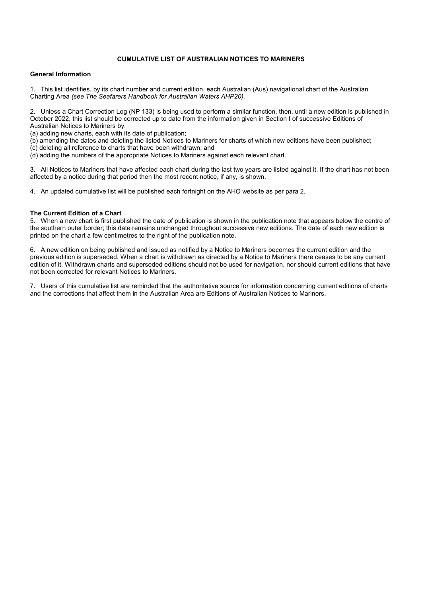## **CUMULATIVE LIST OF AUSTRALIAN NOTICES TO MARINERS**

## **General Information**

1. This list identifies, by its chart number and current edition, each Australian (Aus) navigational chart of the Australian Charting Area *(see The Seafarers Handbook for Australian Waters AHP20)*.

2. Unless a Chart Correction Log (NP 133) is being used to perform a similar function, then, until a new edition is published in October 2022, this list should be corrected up to date from the information given in Section I of successive Editions of Australian Notices to Mariners by:

(a) adding new charts, each with its date of publication;

(b) amending the dates and deleting the listed Notices to Mariners for charts of which new editions have been published;

(c) deleting all reference to charts that have been withdrawn; and

(d) adding the numbers of the appropriate Notices to Mariners against each relevant chart.

3. All Notices to Mariners that have affected each chart during the last two years are listed against it. If the chart has not been affected by a notice during that period then the most recent notice, if any, is shown.

4. An updated cumulative list will be published each fortnight on the AHO website as per para 2.

## **The Current Edition of a Chart**

5. When a new chart is first published the date of publication is shown in the publication note that appears below the centre of the southern outer border; this date remains unchanged throughout successive new editions. The date of each new edition is printed on the chart a few centimetres to the right of the publication note.

6. A new edition on being published and issued as notified by a Notice to Mariners becomes the current edition and the previous edition is superseded. When a chart is withdrawn as directed by a Notice to Mariners there ceases to be any current edition of it. Withdrawn charts and superseded editions should not be used for navigation, nor should current editions that have not been corrected for relevant Notices to Mariners.

7. Users of this cumulative list are reminded that the authoritative source for information concerning current editions of charts and the corrections that affect them in the Australian Area are Editions of Australian Notices to Mariners.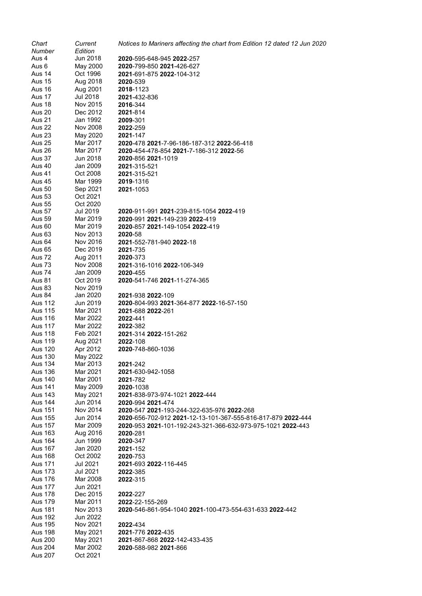| Chart                     | Current              | Notices to Mariners affecting the chart from Edition 12 dated 12 Jun 2020 |
|---------------------------|----------------------|---------------------------------------------------------------------------|
| Number                    | Edition              |                                                                           |
| Aus 4                     | Jun 2018             | 2020-595-648-945 2022-257                                                 |
| Aus 6                     | May 2000             | 2020-799-850 2021-426-627                                                 |
| Aus 14                    | Oct 1996             | 2021-691-875 2022-104-312                                                 |
| Aus 15                    | Aug 2018             | 2020-539                                                                  |
| Aus 16                    | Aug 2001             | <b>2018</b> -1123                                                         |
| Aus 17<br>Aus 18          | Jul 2018<br>Nov 2015 | <b>2021-</b> 432-836                                                      |
| Aus 20                    | Dec 2012             | 2016-344<br>2021-814                                                      |
| <b>Aus 21</b>             | Jan 1992             | 2009-301                                                                  |
| Aus 22                    | Nov 2008             | 2022-259                                                                  |
| <b>Aus 23</b>             | May 2020             | 2021-147                                                                  |
| <b>Aus 25</b>             | Mar 2017             | <b>2020</b> -478 <b>2021</b> -7-96-186-187-312 <b>2022</b> -56-418        |
| Aus 26                    | Mar 2017             | 2020-454-478-854 2021-7-186-312 2022-56                                   |
| Aus 37                    | Jun 2018             | <b>2020</b> -856 <b>2021</b> -1019                                        |
| Aus 40                    | Jan 2009             | <b>2021-</b> 315-521                                                      |
| Aus 41                    | Oct 2008             | <b>2021-</b> 315-521                                                      |
| Aus 45                    | Mar 1999             | 2019-1316                                                                 |
| <b>Aus 50</b>             | Sep 2021             | 2021-1053                                                                 |
| <b>Aus 53</b>             | Oct 2021             |                                                                           |
| <b>Aus 55</b>             | Oct 2020             |                                                                           |
| <b>Aus 57</b>             | Jul 2019             | 2020-911-991 2021-239-815-1054 2022-419                                   |
| <b>Aus 59</b>             | Mar 2019             | 2020-991 2021-149-239 2022-419                                            |
| Aus 60                    | Mar 2019             | 2020-857 2021-149-1054 2022-419                                           |
| Aus 63<br>Aus 64          | Nov 2013<br>Nov 2016 | <b>2020-58</b><br><b>2021</b> -552-781-940 <b>2022</b> -18                |
| <b>Aus 65</b>             | Dec 2019             | 2021-735                                                                  |
| Aus 72                    | Aug 2011             | 2020-373                                                                  |
| Aus 73                    | <b>Nov 2008</b>      | 2021-316-1016 2022-106-349                                                |
| Aus 74                    | Jan 2009             | 2020-455                                                                  |
| <b>Aus 81</b>             | Oct 2019             | 2020-541-746 2021-11-274-365                                              |
| Aus 83                    | Nov 2019             |                                                                           |
| Aus 84                    | Jan 2020             | <b>2021-938 2022-109</b>                                                  |
| Aus 112                   | Jun 2019             | <b>2020</b> -804-993 <b>2021</b> -364-877 <b>2022</b> -16-57-150          |
| Aus 115                   | Mar 2021             | <b>2021-</b> 688 <b>2022-</b> 261                                         |
| <b>Aus 116</b>            | Mar 2022             | 2022-441                                                                  |
| <b>Aus 117</b>            | Mar 2022             | 2022-382                                                                  |
| <b>Aus 118</b>            | Feb 2021             | 2021-314 2022-151-262                                                     |
| Aus 119<br><b>Aus 120</b> | Aug 2021<br>Apr 2012 | 2022-108<br>2020-748-860-1036                                             |
| Aus 130                   | May 2022             |                                                                           |
| Aus 134                   | Mar 2013             | 2021-242                                                                  |
| Aus 136                   | Mar 2021             | 2021-630-942-1058                                                         |
| Aus 140                   | Mar 2001             | 2021-782                                                                  |
| Aus 141                   | May 2009             | 2020-1038                                                                 |
| <b>Aus 143</b>            | May 2021             | 2021-838-973-974-1021 2022-444                                            |
| <b>Aus 144</b>            | Jun 2014             | 2020-994 2021-474                                                         |
| <b>Aus 151</b>            | Nov 2014             | 2020-547 2021-193-244-322-635-976 2022-268                                |
| Aus 155                   | Jun 2014             | 2020-656-702-912 2021-12-13-101-367-555-816-817-879 2022-444              |
| <b>Aus 157</b>            | Mar 2009             | 2020-953 2021-101-192-243-321-366-632-973-975-1021 2022-443               |
| <b>Aus 163</b>            | Aug 2016             | 2020-281                                                                  |
| <b>Aus 164</b>            | Jun 1999             | 2020-347                                                                  |
| <b>Aus 167</b>            | Jan 2020             | 2021-152                                                                  |
| <b>Aus 168</b>            | Oct 2002             | 2020-753                                                                  |
| Aus 171                   | Jul 2021             | 2021-693 2022-116-445                                                     |
| Aus 173<br>Aus 176        | Jul 2021             | 2022-385                                                                  |
| <b>Aus 177</b>            | Mar 2008<br>Jun 2021 | 2022-315                                                                  |
| <b>Aus 178</b>            | Dec 2015             | 2022-227                                                                  |
| Aus 179                   | Mar 2011             | 2022-22-155-269                                                           |
| <b>Aus 181</b>            | Nov 2013             | 2020-546-861-954-1040 2021-100-473-554-631-633 2022-442                   |
| <b>Aus 192</b>            | Jun 2022             |                                                                           |
| Aus 195                   | Nov 2021             | 2022-434                                                                  |
| <b>Aus 198</b>            | May 2021             | 2021-776 2022-435                                                         |
| Aus 200                   | May 2021             | 2021-867-868 2022-142-433-435                                             |
| <b>Aus 204</b>            | Mar 2002             | 2020-588-982 2021-866                                                     |
| <b>Aus 207</b>            | Oct 2021             |                                                                           |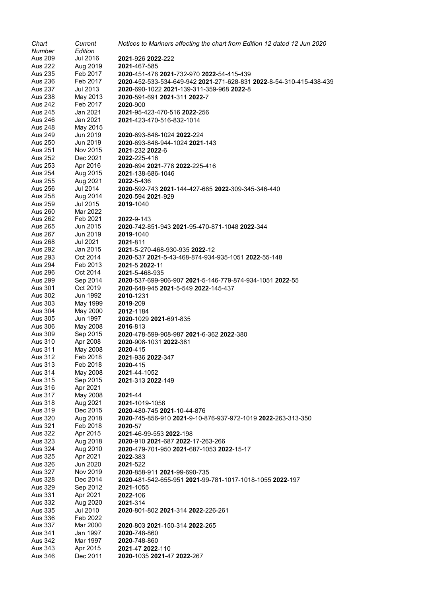| Chart          | Current         | Notices to Mariners affecting the chart from Edition 12 dated 12 Jun 2020 |
|----------------|-----------------|---------------------------------------------------------------------------|
| Number         | Edition         |                                                                           |
| <b>Aus 209</b> | <b>Jul 2016</b> | 2021-926 2022-222                                                         |
| Aus 222        | Aug 2019        | 2021-467-585                                                              |
| Aus 235        | Feb 2017        | 2020-451-476 2021-732-970 2022-54-415-439                                 |
| Aus 236        | Feb 2017        | 2020-452-533-534-649-942 2021-271-628-831 2022-8-54-310-415-438-439       |
| Aus 237        | Jul 2013        | 2020-690-1022 2021-139-311-359-968 2022-8                                 |
| Aus 238        | May 2013        | 2020-591-691 2021-311 2022-7                                              |
| Aus 242        | Feb 2017        | 2020-900                                                                  |
| Aus 245        | Jan 2021        | 2021-95-423-470-516 2022-256                                              |
| Aus 246        | Jan 2021        | 2021-423-470-516-832-1014                                                 |
| <b>Aus 248</b> | May 2015        |                                                                           |
| Aus 249        | Jun 2019        | 2020-693-848-1024 2022-224                                                |
| Aus 250        | Jun 2019        | 2020-693-848-944-1024 2021-143                                            |
| Aus 251        | Nov 2015        | 2021-232 2022-6                                                           |
| Aus 252        | Dec 2021        | 2022-225-416                                                              |
| Aus 253        | Apr 2016        | 2020-694 2021-778 2022-225-416                                            |
| Aus 254        | Aug 2015        | 2021-138-686-1046                                                         |
| Aus 255        | Aug 2021        | 2022-5-436                                                                |
| Aus 256        | Jul 2014        | 2020-592-743 2021-144-427-685 2022-309-345-346-440                        |
| Aus 258        | Aug 2014        | 2020-594 2021-929                                                         |
| Aus 259        | Jul 2015        | 2019-1040                                                                 |
| Aus 260        | Mar 2022        |                                                                           |
| Aus 262        | Feb 2021        | 2022-9-143                                                                |
| Aus 265        | Jun 2015        | <b>2020-742-851-943 2021-95-470-871-1048 2022-344</b>                     |
| Aus 267        | Jun 2019        | 2019-1040                                                                 |
| Aus 268        | Jul 2021        | <b>2021-</b> 811                                                          |
| <b>Aus 292</b> | Jan 2015        | 2021-5-270-468-930-935 2022-12                                            |
| Aus 293        | Oct 2014        | 2020-537 2021-5-43-468-874-934-935-1051 2022-55-148                       |
| Aus 294        | Feb 2013        | 2021-5 2022-11                                                            |
| <b>Aus 296</b> | Oct 2014        | 2021-5-468-935                                                            |
| <b>Aus 299</b> | Sep 2014        | 2020-537-699-906-907 2021-5-146-779-874-934-1051 2022-55                  |
| Aus 301        | Oct 2019        | 2020-648-945 2021-5-549 2022-145-437                                      |
| Aus 302        | Jun 1992        | 2010-1231                                                                 |
| Aus 303        | May 1999        | 2019-209                                                                  |
| Aus 304        | May 2000        | 2012-1184                                                                 |
| Aus 305        | Jun 1997        | 2020-1029 2021-691-835                                                    |
| Aus 306        | May 2008        | 2016-813                                                                  |
| Aus 309        | Sep 2015        | 2020-478-599-908-987 2021-6-362 2022-380                                  |
| Aus 310        | Apr 2008        | 2020-908-1031 2022-381                                                    |
| Aus 311        | May 2008        | 2020-415                                                                  |
| Aus 312        | Feb 2018        | 2021-936 2022-347                                                         |
| Aus 313        | Feb 2018        | <b>2020-415</b>                                                           |
| Aus 314        | May 2008        | 2021-44-1052                                                              |
| Aus 315        | Sep 2015        | 2021-313 2022-149                                                         |
| Aus 316        | Apr 2021        |                                                                           |
| Aus 317        | May 2008        | 2021-44                                                                   |
| Aus 318        | Aug 2021        | 2021-1019-1056                                                            |
| Aus 319        | Dec 2015        | 2020-480-745 2021-10-44-876                                               |
| Aus 320        | Aug 2018        | 2020-745-856-910 2021-9-10-876-937-972-1019 2022-263-313-350              |
| Aus 321        | Feb 2018        | <b>2020-57</b>                                                            |
| Aus 322        | Apr 2015        | 2021-46-99-553 2022-198                                                   |
| Aus 323        | Aug 2018        | 2020-910 2021-687 2022-17-263-266                                         |
| Aus 324        | Aug 2010        | 2020-479-701-950 2021-687-1053 2022-15-17                                 |
| Aus 325        | Apr 2021        | 2022-383                                                                  |
| Aus 326        | Jun 2020        | 2021-522                                                                  |
| <b>Aus 327</b> | Nov 2019        | 2020-858-911 2021-99-690-735                                              |
| Aus 328        | Dec 2014        | 2020-481-542-655-951 2021-99-781-1017-1018-1055 2022-197                  |
| Aus 329        | Sep 2012        | 2021-1055                                                                 |
| Aus 331        | Apr 2021        | 2022-106                                                                  |
| Aus 332        | Aug 2020        | 2021-314                                                                  |
| Aus 335        | Jul 2010        | 2020-801-802 2021-314 2022-226-261                                        |
| Aus 336        | Feb 2022        |                                                                           |
| Aus 337        | Mar 2000        | 2020-803 2021-150-314 2022-265                                            |
| Aus 341        | Jan 1997        | 2020-748-860                                                              |
| Aus 342        | Mar 1997        | 2020-748-860                                                              |
| Aus 343        | Apr 2015        | 2021-47 2022-110                                                          |
| Aus 346        | Dec 2011        | 2020-1035 2021-47 2022-267                                                |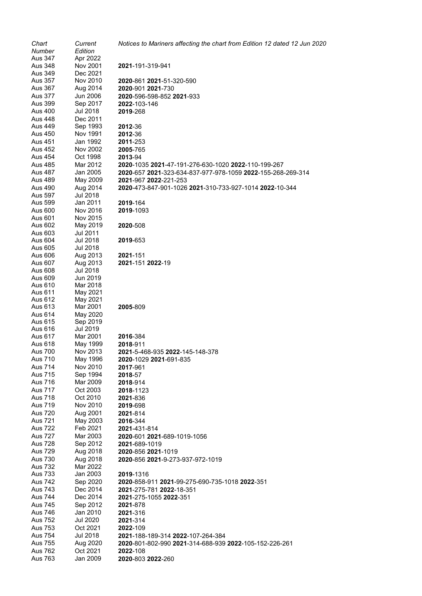| Chart                     | Current              | Notices to Mariners affecting the chart from Edition 12 dated 12 Jun 2020           |
|---------------------------|----------------------|-------------------------------------------------------------------------------------|
| Number                    | Edition              |                                                                                     |
| Aus 347<br>Aus 348        | Apr 2022<br>Nov 2001 | <b>2021-</b> 191-319-941                                                            |
| Aus 349                   | Dec 2021             |                                                                                     |
| Aus 357                   | Nov 2010             | 2020-861 2021-51-320-590                                                            |
| Aus 367                   | Aug 2014             | 2020-901 2021-730                                                                   |
| Aus 377                   | Jun 2006             | 2020-596-598-852 2021-933                                                           |
| Aus 399                   | Sep 2017             | <b>2022-103-146</b>                                                                 |
| Aus 400                   | Jul 2018             | 2019-268                                                                            |
| Aus 448                   | Dec 2011             |                                                                                     |
| Aus 449                   | Sep 1993             | 2012-36                                                                             |
| Aus 450                   | Nov 1991             | 2012-36                                                                             |
| Aus 451                   | Jan 1992             | 2011-253                                                                            |
| Aus 452                   | Nov 2002             | <b>2005-765</b>                                                                     |
| Aus 454                   | Oct 1998             | 2013-94                                                                             |
| Aus 485                   | Mar 2012             | <b>2020</b> -1035 <b>2021</b> -47-191-276-630-1020 <b>2022</b> -110-199-267         |
| Aus 487                   | Jan 2005             | <b>2020</b> -657 <b>2021</b> -323-634-837-977-978-1059 <b>2022</b> -155-268-269-314 |
| <b>Aus 489</b>            | May 2009             | 2021-967 2022-221-253                                                               |
| Aus 490<br>Aus 597        | Aug 2014<br>Jul 2018 | 2020-473-847-901-1026 2021-310-733-927-1014 2022-10-344                             |
| Aus 599                   | Jan 2011             | 2019-164                                                                            |
| Aus 600                   | Nov 2016             | 2019-1093                                                                           |
| Aus 601                   | Nov 2015             |                                                                                     |
| Aus 602                   | May 2019             | 2020-508                                                                            |
| Aus 603                   | Jul 2011             |                                                                                     |
| Aus 604                   | Jul 2018             | 2019-653                                                                            |
| Aus 605                   | Jul 2018             |                                                                                     |
| Aus 606                   | Aug 2013             | <b>2021-151</b>                                                                     |
| Aus 607                   | Aug 2013             | 2021-151 2022-19                                                                    |
| Aus 608                   | Jul 2018             |                                                                                     |
| Aus 609<br>Aus 610        | Jun 2019<br>Mar 2018 |                                                                                     |
| Aus 611                   | May 2021             |                                                                                     |
| Aus 612                   | May 2021             |                                                                                     |
| Aus 613                   | Mar 2001             | 2005-809                                                                            |
| Aus 614                   | May 2020             |                                                                                     |
| Aus 615                   | Sep 2019             |                                                                                     |
| Aus 616                   | Jul 2019             |                                                                                     |
| Aus 617                   | Mar 2001             | 2016-384                                                                            |
| Aus 618<br><b>Aus 700</b> | May 1999<br>Nov 2013 | <b>2018-</b> 911                                                                    |
| <b>Aus 710</b>            | May 1996             | <b>2021</b> -5-468-935 <b>2022</b> -145-148-378<br>2020-1029 2021-691-835           |
| Aus 714                   | Nov 2010             | 2017-961                                                                            |
| Aus 715                   | Sep 1994             | 2018-57                                                                             |
| Aus 716                   | Mar 2009             | <b>2018-</b> 914                                                                    |
| Aus 717                   | Oct 2003             | 2018-1123                                                                           |
| <b>Aus 718</b>            | Oct 2010             | 2021-836                                                                            |
| Aus 719                   | Nov 2010             | 2019-698                                                                            |
| Aus 720                   | Aug 2001             | 2021-814                                                                            |
| Aus 721                   | May 2003             | 2016-344                                                                            |
| Aus 722                   | Feb 2021             | 2021-431-814                                                                        |
| <b>Aus 727</b>            | Mar 2003             | <b>2020</b> -601 <b>2021</b> -689-1019-1056                                         |
| <b>Aus 728</b>            | Sep 2012             | <b>2021-</b> 689-1019                                                               |
| Aus 729                   | Aug 2018             | <b>2020-856 2021-1019</b>                                                           |
| Aus 730                   | Aug 2018             | 2020-856 2021-9-273-937-972-1019                                                    |
| Aus 732                   | Mar 2022             |                                                                                     |
| Aus 733<br>Aus 742        | Jan 2003             | <b>2019-</b> 1316                                                                   |
| Aus 743                   | Sep 2020<br>Dec 2014 | 2020-858-911 2021-99-275-690-735-1018 2022-351<br>2021-275-781 2022-18-351          |
| Aus 744                   | Dec 2014             | 2021-275-1055 2022-351                                                              |
| Aus 745                   | Sep 2012             | 2021-878                                                                            |
| Aus 746                   | Jan 2010             | 2021-316                                                                            |
| Aus 752                   | Jul 2020             | 2021-314                                                                            |
| Aus 753                   | Oct 2021             | <b>2022-109</b>                                                                     |
| Aus 754                   | Jul 2018             | 2021-188-189-314 2022-107-264-384                                                   |
| Aus 755                   | Aug 2020             | 2020-801-802-990 2021-314-688-939 2022-105-152-226-261                              |
| <b>Aus 762</b>            | Oct 2021             | 2022-108                                                                            |
| Aus 763                   | Jan 2009             | 2020-803 2022-260                                                                   |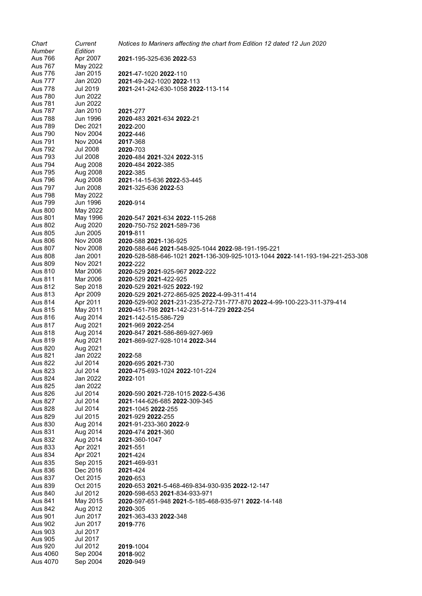| Chart          | Current         | Notices to Mariners affecting the chart from Edition 12 dated 12 Jun 2020     |
|----------------|-----------------|-------------------------------------------------------------------------------|
| Number         | Edition         |                                                                               |
| Aus 766        | Apr 2007        | 2021-195-325-636 2022-53                                                      |
| <b>Aus 767</b> | May 2022        |                                                                               |
| Aus 776        | Jan 2015        | 2021-47-1020 2022-110                                                         |
| <b>Aus 777</b> | Jan 2020        | 2021-49-242-1020 2022-113                                                     |
| <b>Aus 778</b> | Jul 2019        | 2021-241-242-630-1058 2022-113-114                                            |
|                |                 |                                                                               |
| <b>Aus 780</b> | Jun 2022        |                                                                               |
| Aus 781        | Jun 2022        |                                                                               |
| <b>Aus 787</b> | Jan 2010        | 2021-277                                                                      |
| <b>Aus 788</b> | Jun 1996        | 2020-483 2021-634 2022-21                                                     |
| <b>Aus 789</b> | Dec 2021        | 2022-200                                                                      |
| <b>Aus 790</b> | Nov 2004        | 2022-446                                                                      |
|                |                 |                                                                               |
| Aus 791        | Nov 2004        | 2017-368                                                                      |
| <b>Aus 792</b> | Jul 2008        | 2020-703                                                                      |
| Aus 793        | Jul 2008        | 2020-484 2021-324 2022-315                                                    |
| <b>Aus 794</b> | Aug 2008        | 2020-484 2022-385                                                             |
| <b>Aus 795</b> | Aug 2008        | 2022-385                                                                      |
| <b>Aus 796</b> | Aug 2008        | 2021-14-15-636 2022-53-445                                                    |
| <b>Aus 797</b> | <b>Jun 2008</b> | 2021-325-636 2022-53                                                          |
|                |                 |                                                                               |
| <b>Aus 798</b> | May 2022        |                                                                               |
| <b>Aus 799</b> | Jun 1996        | 2020-914                                                                      |
| <b>Aus 800</b> | May 2022        |                                                                               |
| Aus 801        | May 1996        | 2020-547 2021-634 2022-115-268                                                |
| Aus 802        | Aug 2020        | 2020-750-752 2021-589-736                                                     |
| Aus 805        | Jun 2005        | 2019-811                                                                      |
| <b>Aus 806</b> | Nov 2008        | 2020-588 2021-136-925                                                         |
|                |                 |                                                                               |
| Aus 807        | Nov 2008        | 2020-588-646 2021-548-925-1044 2022-98-191-195-221                            |
| <b>Aus 808</b> | Jan 2001        | 2020-528-588-646-1021 2021-136-309-925-1013-1044 2022-141-193-194-221-253-308 |
| Aus 809        | Nov 2021        | 2022-222                                                                      |
| Aus 810        | Mar 2006        | 2020-529 2021-925-967 2022-222                                                |
| Aus 811        | Mar 2006        | 2020-529 2021-422-925                                                         |
| Aus 812        | Sep 2018        | 2020-529 2021-925 2022-192                                                    |
| Aus 813        | Apr 2009        | 2020-529 2021-272-865-925 2022-4-99-311-414                                   |
| Aus 814        | Apr 2011        | 2020-529-902 2021-231-235-272-731-777-870 2022-4-99-100-223-311-379-414       |
|                |                 |                                                                               |
| Aus 815        | May 2011        | 2020-451-798 2021-142-231-514-729 2022-254                                    |
| Aus 816        | Aug 2014        | 2021-142-515-586-729                                                          |
| Aus 817        | Aug 2021        | 2021-969 2022-254                                                             |
| Aus 818        | Aug 2014        | 2020-847 2021-586-869-927-969                                                 |
| Aus 819        | Aug 2021        | 2021-869-927-928-1014 2022-344                                                |
| <b>Aus 820</b> | Aug 2021        |                                                                               |
| Aus 821        | Jan 2022        | 2022-58                                                                       |
| Aus 822        | Jul 2014        |                                                                               |
|                |                 | 2020-695 2021-730                                                             |
| Aus 823        | Jul 2014        | 2020-475-693-1024 2022-101-224                                                |
| Aus 824        | Jan 2022        | 2022-101                                                                      |
| <b>Aus 825</b> | Jan 2022        |                                                                               |
| Aus 826        | Jul 2014        | 2020-590 2021-728-1015 2022-5-436                                             |
| Aus 827        | Jul 2014        | 2021-144-626-685 2022-309-345                                                 |
| <b>Aus 828</b> | Jul 2014        | 2021-1045 2022-255                                                            |
|                |                 |                                                                               |
| Aus 829        | Jul 2015        | 2021-929 2022-255                                                             |
| <b>Aus 830</b> | Aug 2014        | 2021-91-233-360 2022-9                                                        |
| Aus 831        | Aug 2014        | 2020-474 2021-360                                                             |
| Aus 832        | Aug 2014        | 2021-360-1047                                                                 |
| Aus 833        | Apr 2021        | 2021-551                                                                      |
| Aus 834        | Apr 2021        | 2021-424                                                                      |
| Aus 835        | Sep 2015        | 2021-469-931                                                                  |
| Aus 836        | Dec 2016        |                                                                               |
|                |                 | 2021-424                                                                      |
| Aus 837        | Oct 2015        | 2020-653                                                                      |
| Aus 839        | Oct 2015        | 2020-653 2021-5-468-469-834-930-935 2022-12-147                               |
| Aus 840        | Jul 2012        | 2020-598-653 2021-834-933-971                                                 |
| Aus 841        | May 2015        | 2020-597-651-948 2021-5-185-468-935-971 2022-14-148                           |
| <b>Aus 842</b> | Aug 2012        | 2020-305                                                                      |
| Aus 901        | Jun 2017        | 2021-363-433 2022-348                                                         |
| <b>Aus 902</b> | Jun 2017        | 2019-776                                                                      |
|                |                 |                                                                               |
| Aus 903        | Jul 2017        |                                                                               |
| Aus 905        | Jul 2017        |                                                                               |
| Aus 920        | Jul 2012        | 2019-1004                                                                     |
| Aus 4060       | Sep 2004        | 2018-902                                                                      |
| Aus 4070       | Sep 2004        | 2020-949                                                                      |
|                |                 |                                                                               |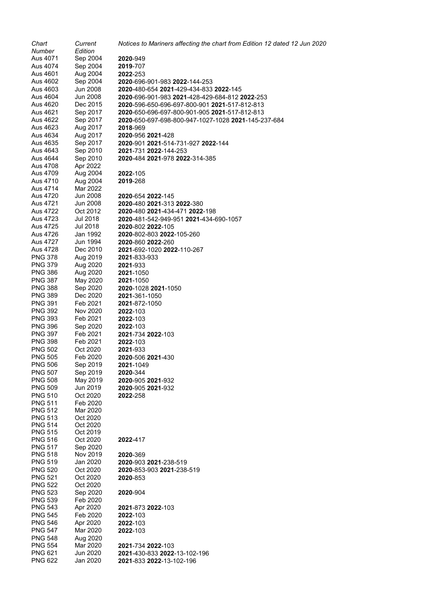| Chart                            | Current              | Notices to Mariners affecting the chart from Edition 12 dated 12 Jun 2020                            |
|----------------------------------|----------------------|------------------------------------------------------------------------------------------------------|
| Number                           | Edition              |                                                                                                      |
| Aus 4071                         | Sep 2004             | 2020-949                                                                                             |
| Aus 4074                         | Sep 2004             | 2019-707                                                                                             |
| Aus 4601                         | Aug 2004             | <b>2022-253</b>                                                                                      |
| Aus 4602                         | Sep 2004             | 2020-696-901-983 2022-144-253                                                                        |
| Aus 4603                         | Jun 2008             | <b>2020</b> -480-654 <b>2021</b> -429-434-833 <b>2022</b> -145                                       |
| Aus 4604                         | Jun 2008             | 2020-696-901-983 2021-428-429-684-812 2022-253                                                       |
| Aus 4620<br>Aus 4621             | Dec 2015<br>Sep 2017 | <b>2020</b> -596-650-696-697-800-901 <b>2021</b> -517-812-813                                        |
| Aus 4622                         | Sep 2017             | 2020-650-696-697-800-901-905 2021-517-812-813<br>2020-650-697-698-800-947-1027-1028 2021-145-237-684 |
| Aus 4623                         | Aug 2017             | 2018-969                                                                                             |
| Aus 4634                         | Aug 2017             | 2020-956 2021-428                                                                                    |
| Aus 4635                         | Sep 2017             | 2020-901 2021-514-731-927 2022-144                                                                   |
| Aus 4643                         | Sep 2010             | 2021-731 2022-144-253                                                                                |
| Aus 4644                         | Sep 2010             | 2020-484 2021-978 2022-314-385                                                                       |
| Aus 4708                         | Apr 2022             |                                                                                                      |
| Aus 4709                         | Aug 2004             | 2022-105                                                                                             |
| Aus 4710                         | Aug 2004             | 2019-268                                                                                             |
| Aus 4714                         | Mar 2022             |                                                                                                      |
| Aus 4720                         | Jun 2008             | 2020-654 2022-145                                                                                    |
| Aus 4721                         | Jun 2008             | 2020-480 2021-313 2022-380                                                                           |
| Aus 4722                         | Oct 2012             | 2020-480 2021-434-471 2022-198                                                                       |
| Aus 4723                         | Jul 2018             | 2020-481-542-949-951 2021-434-690-1057                                                               |
| Aus 4725                         | Jul 2018             | 2020-802 2022-105                                                                                    |
| Aus 4726                         | Jan 1992             | 2020-802-803 2022-105-260                                                                            |
| Aus 4727                         | Jun 1994             | 2020-860 2022-260                                                                                    |
| Aus 4728                         | Dec 2010             | 2021-692-1020 2022-110-267                                                                           |
| <b>PNG 378</b>                   | Aug 2019             | 2021-833-933                                                                                         |
| <b>PNG 379</b>                   | Aug 2020             | 2021-933                                                                                             |
| <b>PNG 386</b>                   | Aug 2020             | <b>2021-1050</b>                                                                                     |
| <b>PNG 387</b>                   | May 2020             | <b>2021-1050</b>                                                                                     |
| <b>PNG 388</b>                   | Sep 2020             | 2020-1028 2021-1050                                                                                  |
| <b>PNG 389</b>                   | Dec 2020             | <b>2021-361-1050</b>                                                                                 |
| <b>PNG 391</b>                   | Feb 2021             | 2021-872-1050                                                                                        |
| <b>PNG 392</b><br><b>PNG 393</b> | Nov 2020<br>Feb 2021 | 2022-103<br><b>2022-103</b>                                                                          |
| <b>PNG 396</b>                   | Sep 2020             | <b>2022-103</b>                                                                                      |
| <b>PNG 397</b>                   | Feb 2021             | 2021-734 2022-103                                                                                    |
| <b>PNG 398</b>                   | Feb 2021             | 2022-103                                                                                             |
| <b>PNG 502</b>                   | Oct 2020             | 2021-933                                                                                             |
| <b>PNG 505</b>                   | Feb 2020             | 2020-506 2021-430                                                                                    |
| <b>PNG 506</b>                   | Sep 2019             | 2021-1049                                                                                            |
| <b>PNG 507</b>                   | Sep 2019             | 2020-344                                                                                             |
| <b>PNG 508</b>                   | May 2019             | 2020-905 2021-932                                                                                    |
| <b>PNG 509</b>                   | Jun 2019             | 2020-905 2021-932                                                                                    |
| <b>PNG 510</b>                   | Oct 2020             | 2022-258                                                                                             |
| <b>PNG 511</b>                   | Feb 2020             |                                                                                                      |
| <b>PNG 512</b>                   | Mar 2020             |                                                                                                      |
| <b>PNG 513</b>                   | Oct 2020             |                                                                                                      |
| <b>PNG 514</b>                   | Oct 2020             |                                                                                                      |
| <b>PNG 515</b><br><b>PNG 516</b> | Oct 2019<br>Oct 2020 | 2022-417                                                                                             |
| <b>PNG 517</b>                   | Sep 2020             |                                                                                                      |
| <b>PNG 518</b>                   | Nov 2019             | 2020-369                                                                                             |
| <b>PNG 519</b>                   | Jan 2020             | 2020-903 2021-238-519                                                                                |
| <b>PNG 520</b>                   | Oct 2020             | 2020-853-903 2021-238-519                                                                            |
| <b>PNG 521</b>                   | Oct 2020             | 2020-853                                                                                             |
| <b>PNG 522</b>                   | Oct 2020             |                                                                                                      |
| <b>PNG 523</b>                   | Sep 2020             | 2020-904                                                                                             |
| <b>PNG 539</b>                   | Feb 2020             |                                                                                                      |
| <b>PNG 543</b>                   | Apr 2020             | 2021-873 2022-103                                                                                    |
| <b>PNG 545</b>                   | Feb 2020             | 2022-103                                                                                             |
| <b>PNG 546</b>                   | Apr 2020             | 2022-103                                                                                             |
| <b>PNG 547</b>                   | Mar 2020             | 2022-103                                                                                             |
| <b>PNG 548</b>                   | Aug 2020             |                                                                                                      |
| <b>PNG 554</b>                   | Mar 2020             | 2021-734 2022-103                                                                                    |
| <b>PNG 621</b>                   | Jun 2020             | 2021-430-833 2022-13-102-196                                                                         |
| <b>PNG 622</b>                   | Jan 2020             | 2021-833 2022-13-102-196                                                                             |